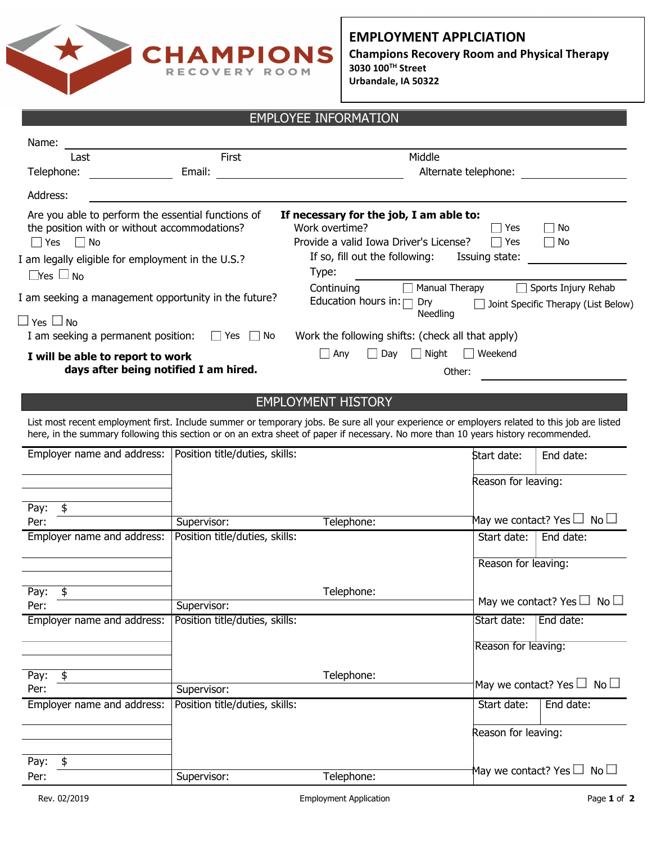

**EMPLOYMENT APPLCIATION Champions Recovery Room and Physical Therapy 3030 100TH Street Urbandale, IA 50322**

## EMPLOYEE INFORMATION

| Name:                                                                                                                      |                                |                                                                                                                                                                                                                                                                                    |  |  |  |
|----------------------------------------------------------------------------------------------------------------------------|--------------------------------|------------------------------------------------------------------------------------------------------------------------------------------------------------------------------------------------------------------------------------------------------------------------------------|--|--|--|
| Last                                                                                                                       | First                          | Middle                                                                                                                                                                                                                                                                             |  |  |  |
| Telephone:                                                                                                                 | Email:                         | Alternate telephone:                                                                                                                                                                                                                                                               |  |  |  |
| Address:                                                                                                                   |                                |                                                                                                                                                                                                                                                                                    |  |  |  |
| Are you able to perform the essential functions of<br>the position with or without accommodations?<br>$\Box$ Yes $\Box$ No |                                | If necessary for the job, I am able to:<br>Work overtime?<br><b>Nes</b><br>⊟ No<br>Provide a valid Iowa Driver's License?<br>$\Box$ Yes<br>⊟ No<br>If so, fill out the following:<br>Issuing state:                                                                                |  |  |  |
| I am legally eligible for employment in the U.S.?<br>$\Box$ Yes $\Box$ No                                                  |                                | Type:                                                                                                                                                                                                                                                                              |  |  |  |
| I am seeking a management opportunity in the future?                                                                       |                                | Manual Therapy<br>Sports Injury Rehab<br>Continuing<br>Education hours in: $\Box$ Dry<br>Joint Specific Therapy (List Below)<br>Needling                                                                                                                                           |  |  |  |
| $\Box$ Yes $\Box$ No<br>I am seeking a permanent position: $\Box$ Yes $\Box$ No                                            |                                | Work the following shifts: (check all that apply)                                                                                                                                                                                                                                  |  |  |  |
| I will be able to report to work<br>days after being notified I am hired.                                                  |                                | Night<br>$\Box$ Weekend<br>$\Box$ Any<br>Day<br>Other:                                                                                                                                                                                                                             |  |  |  |
|                                                                                                                            |                                | <b>EMPLOYMENT HISTORY</b>                                                                                                                                                                                                                                                          |  |  |  |
|                                                                                                                            |                                | List most recent employment first. Include summer or temporary jobs. Be sure all your experience or employers related to this job are listed<br>here, in the summary following this section or on an extra sheet of paper if necessary. No more than 10 years history recommended. |  |  |  |
| Employer name and address:   Position title/duties, skills:                                                                |                                | End date:<br>Start date:                                                                                                                                                                                                                                                           |  |  |  |
|                                                                                                                            |                                | Reason for leaving:                                                                                                                                                                                                                                                                |  |  |  |
| \$<br>Pay:                                                                                                                 |                                |                                                                                                                                                                                                                                                                                    |  |  |  |
| Per:                                                                                                                       | Supervisor:                    | May we contact? Yes $\square$ No $\square$<br>Telephone:                                                                                                                                                                                                                           |  |  |  |
| Employer name and address:                                                                                                 | Position title/duties, skills: | End date:<br>Start date:                                                                                                                                                                                                                                                           |  |  |  |
|                                                                                                                            |                                | Reason for leaving:                                                                                                                                                                                                                                                                |  |  |  |
| Pav:<br>ፍ                                                                                                                  |                                | Telenhone <sup>.</sup>                                                                                                                                                                                                                                                             |  |  |  |

Telephone: Telephone: May we contact? Yes  $\square$  No  $\square$ Pay: Per: Employer name and address: | Position title/duties, skills: Supervisor: Pay: \$ Per: Supervisor: Employer name and address: Position title/duties, skills: Start Start date: Start date: End date: Pay: \$ Per: Supervisor: Telephone: Start date: | End date: Reason for leaving: May we contact? Yes  $\square$  No  $\square$ Reason for leaving: May we contact? Yes  $\square$  No  $\square$